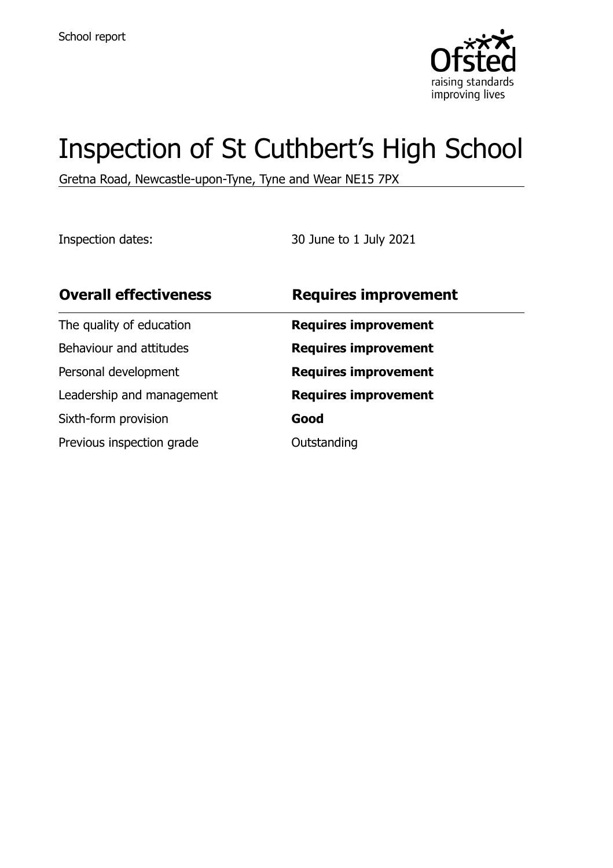

# Inspection of St Cuthbert's High School

Gretna Road, Newcastle-upon-Tyne, Tyne and Wear NE15 7PX

Inspection dates: 30 June to 1 July 2021

| <b>Overall effectiveness</b> | <b>Requires improvement</b> |
|------------------------------|-----------------------------|
| The quality of education     | <b>Requires improvement</b> |
| Behaviour and attitudes      | <b>Requires improvement</b> |
| Personal development         | <b>Requires improvement</b> |
| Leadership and management    | <b>Requires improvement</b> |
| Sixth-form provision         | Good                        |
| Previous inspection grade    | Outstanding                 |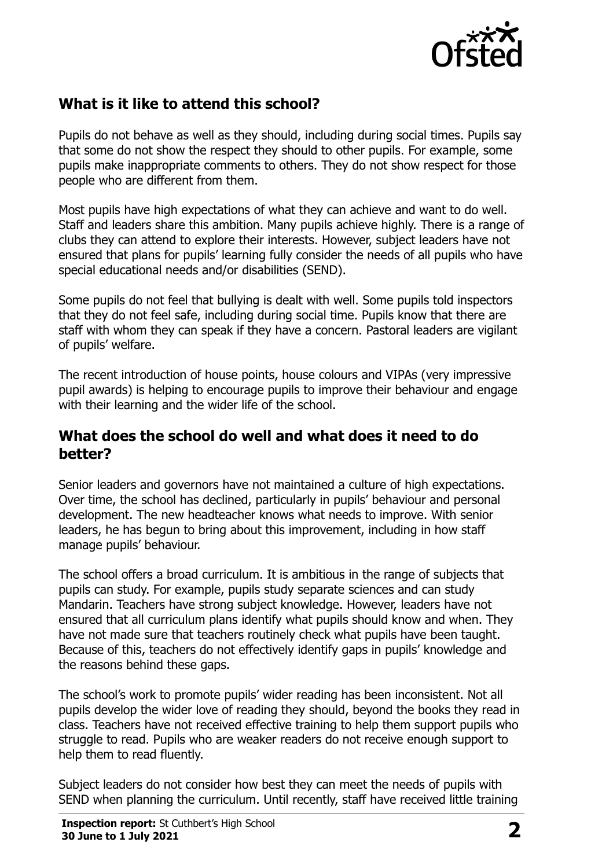

## **What is it like to attend this school?**

Pupils do not behave as well as they should, including during social times. Pupils say that some do not show the respect they should to other pupils. For example, some pupils make inappropriate comments to others. They do not show respect for those people who are different from them.

Most pupils have high expectations of what they can achieve and want to do well. Staff and leaders share this ambition. Many pupils achieve highly. There is a range of clubs they can attend to explore their interests. However, subject leaders have not ensured that plans for pupils' learning fully consider the needs of all pupils who have special educational needs and/or disabilities (SEND).

Some pupils do not feel that bullying is dealt with well. Some pupils told inspectors that they do not feel safe, including during social time. Pupils know that there are staff with whom they can speak if they have a concern. Pastoral leaders are vigilant of pupils' welfare.

The recent introduction of house points, house colours and VIPAs (very impressive pupil awards) is helping to encourage pupils to improve their behaviour and engage with their learning and the wider life of the school.

#### **What does the school do well and what does it need to do better?**

Senior leaders and governors have not maintained a culture of high expectations. Over time, the school has declined, particularly in pupils' behaviour and personal development. The new headteacher knows what needs to improve. With senior leaders, he has begun to bring about this improvement, including in how staff manage pupils' behaviour.

The school offers a broad curriculum. It is ambitious in the range of subjects that pupils can study. For example, pupils study separate sciences and can study Mandarin. Teachers have strong subject knowledge. However, leaders have not ensured that all curriculum plans identify what pupils should know and when. They have not made sure that teachers routinely check what pupils have been taught. Because of this, teachers do not effectively identify gaps in pupils' knowledge and the reasons behind these gaps.

The school's work to promote pupils' wider reading has been inconsistent. Not all pupils develop the wider love of reading they should, beyond the books they read in class. Teachers have not received effective training to help them support pupils who struggle to read. Pupils who are weaker readers do not receive enough support to help them to read fluently.

Subject leaders do not consider how best they can meet the needs of pupils with SEND when planning the curriculum. Until recently, staff have received little training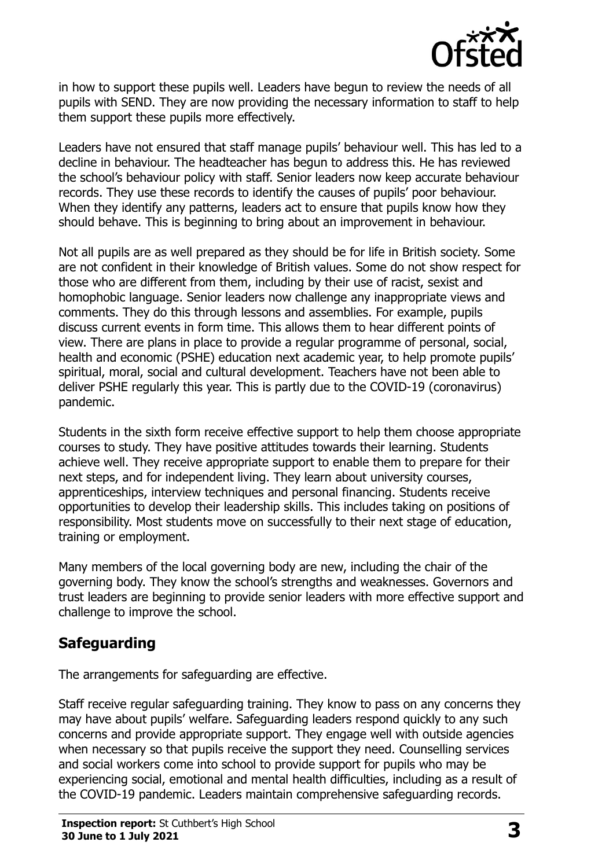

in how to support these pupils well. Leaders have begun to review the needs of all pupils with SEND. They are now providing the necessary information to staff to help them support these pupils more effectively.

Leaders have not ensured that staff manage pupils' behaviour well. This has led to a decline in behaviour. The headteacher has begun to address this. He has reviewed the school's behaviour policy with staff. Senior leaders now keep accurate behaviour records. They use these records to identify the causes of pupils' poor behaviour. When they identify any patterns, leaders act to ensure that pupils know how they should behave. This is beginning to bring about an improvement in behaviour.

Not all pupils are as well prepared as they should be for life in British society. Some are not confident in their knowledge of British values. Some do not show respect for those who are different from them, including by their use of racist, sexist and homophobic language. Senior leaders now challenge any inappropriate views and comments. They do this through lessons and assemblies. For example, pupils discuss current events in form time. This allows them to hear different points of view. There are plans in place to provide a regular programme of personal, social, health and economic (PSHE) education next academic year, to help promote pupils' spiritual, moral, social and cultural development. Teachers have not been able to deliver PSHE regularly this year. This is partly due to the COVID-19 (coronavirus) pandemic.

Students in the sixth form receive effective support to help them choose appropriate courses to study. They have positive attitudes towards their learning. Students achieve well. They receive appropriate support to enable them to prepare for their next steps, and for independent living. They learn about university courses, apprenticeships, interview techniques and personal financing. Students receive opportunities to develop their leadership skills. This includes taking on positions of responsibility. Most students move on successfully to their next stage of education, training or employment.

Many members of the local governing body are new, including the chair of the governing body. They know the school's strengths and weaknesses. Governors and trust leaders are beginning to provide senior leaders with more effective support and challenge to improve the school.

## **Safeguarding**

The arrangements for safeguarding are effective.

Staff receive regular safeguarding training. They know to pass on any concerns they may have about pupils' welfare. Safeguarding leaders respond quickly to any such concerns and provide appropriate support. They engage well with outside agencies when necessary so that pupils receive the support they need. Counselling services and social workers come into school to provide support for pupils who may be experiencing social, emotional and mental health difficulties, including as a result of the COVID-19 pandemic. Leaders maintain comprehensive safeguarding records.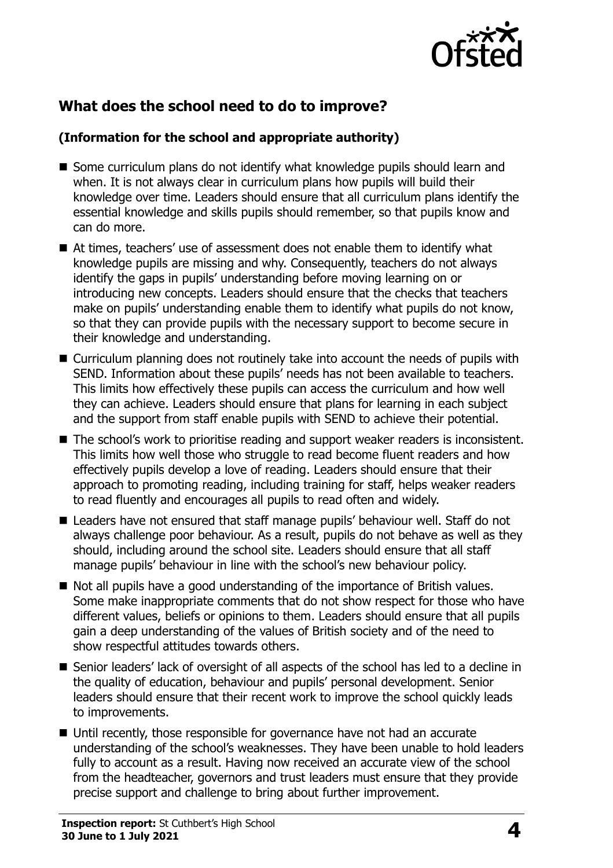

## **What does the school need to do to improve?**

#### **(Information for the school and appropriate authority)**

- Some curriculum plans do not identify what knowledge pupils should learn and when. It is not always clear in curriculum plans how pupils will build their knowledge over time. Leaders should ensure that all curriculum plans identify the essential knowledge and skills pupils should remember, so that pupils know and can do more.
- At times, teachers' use of assessment does not enable them to identify what knowledge pupils are missing and why. Consequently, teachers do not always identify the gaps in pupils' understanding before moving learning on or introducing new concepts. Leaders should ensure that the checks that teachers make on pupils' understanding enable them to identify what pupils do not know, so that they can provide pupils with the necessary support to become secure in their knowledge and understanding.
- Curriculum planning does not routinely take into account the needs of pupils with SEND. Information about these pupils' needs has not been available to teachers. This limits how effectively these pupils can access the curriculum and how well they can achieve. Leaders should ensure that plans for learning in each subject and the support from staff enable pupils with SEND to achieve their potential.
- The school's work to prioritise reading and support weaker readers is inconsistent. This limits how well those who struggle to read become fluent readers and how effectively pupils develop a love of reading. Leaders should ensure that their approach to promoting reading, including training for staff, helps weaker readers to read fluently and encourages all pupils to read often and widely.
- Leaders have not ensured that staff manage pupils' behaviour well. Staff do not always challenge poor behaviour. As a result, pupils do not behave as well as they should, including around the school site. Leaders should ensure that all staff manage pupils' behaviour in line with the school's new behaviour policy.
- Not all pupils have a good understanding of the importance of British values. Some make inappropriate comments that do not show respect for those who have different values, beliefs or opinions to them. Leaders should ensure that all pupils gain a deep understanding of the values of British society and of the need to show respectful attitudes towards others.
- Senior leaders' lack of oversight of all aspects of the school has led to a decline in the quality of education, behaviour and pupils' personal development. Senior leaders should ensure that their recent work to improve the school quickly leads to improvements.
- Until recently, those responsible for governance have not had an accurate understanding of the school's weaknesses. They have been unable to hold leaders fully to account as a result. Having now received an accurate view of the school from the headteacher, governors and trust leaders must ensure that they provide precise support and challenge to bring about further improvement.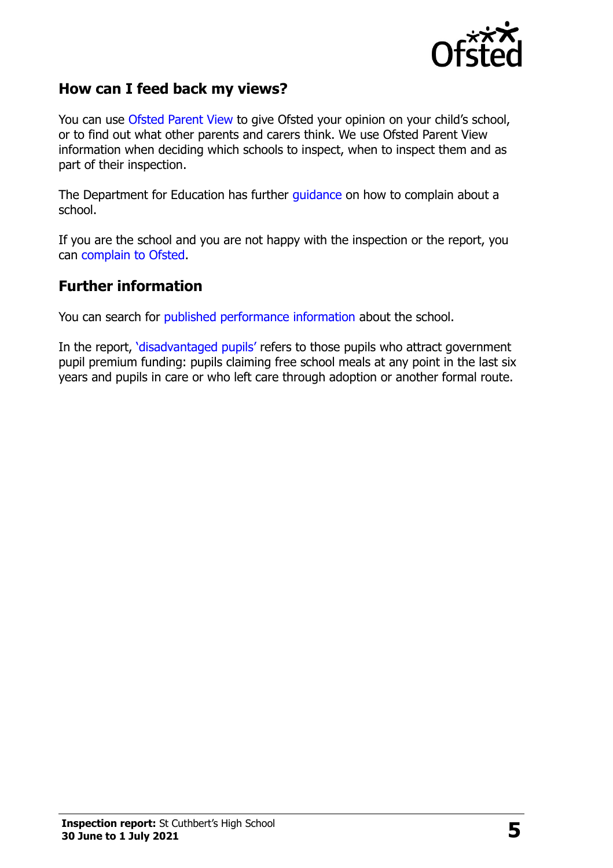

#### **How can I feed back my views?**

You can use [Ofsted Parent View](http://parentview.ofsted.gov.uk/) to give Ofsted your opinion on your child's school, or to find out what other parents and carers think. We use Ofsted Parent View information when deciding which schools to inspect, when to inspect them and as part of their inspection.

The Department for Education has further [guidance](http://www.gov.uk/complain-about-school) on how to complain about a school.

If you are the school and you are not happy with the inspection or the report, you can [complain to Ofsted.](http://www.gov.uk/complain-ofsted-report)

#### **Further information**

You can search for [published performance information](http://www.compare-school-performance.service.gov.uk/) about the school.

In the report, '[disadvantaged pupils](http://www.gov.uk/guidance/pupil-premium-information-for-schools-and-alternative-provision-settings)' refers to those pupils who attract government pupil premium funding: pupils claiming free school meals at any point in the last six years and pupils in care or who left care through adoption or another formal route.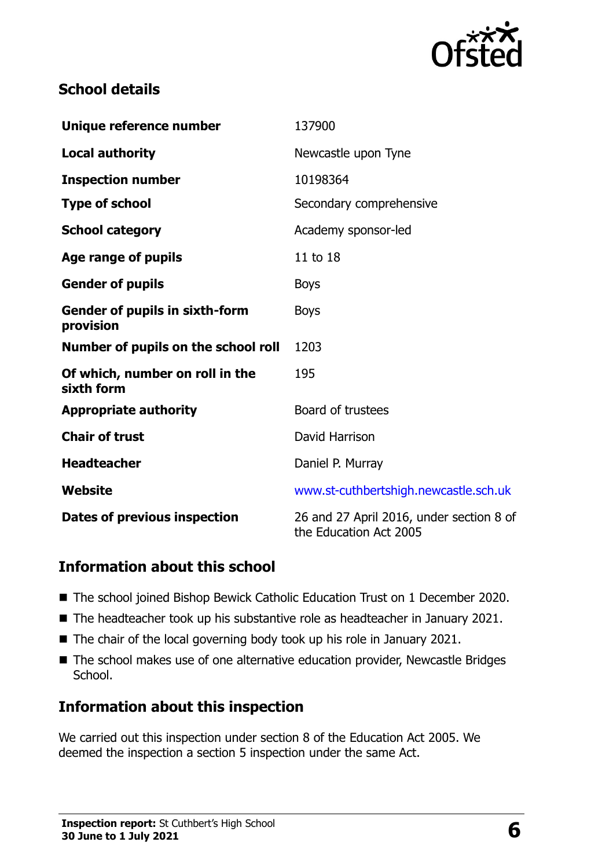

## **School details**

| Unique reference number                            | 137900                                                             |
|----------------------------------------------------|--------------------------------------------------------------------|
| <b>Local authority</b>                             | Newcastle upon Tyne                                                |
| <b>Inspection number</b>                           | 10198364                                                           |
| <b>Type of school</b>                              | Secondary comprehensive                                            |
| <b>School category</b>                             | Academy sponsor-led                                                |
| Age range of pupils                                | 11 to 18                                                           |
| <b>Gender of pupils</b>                            | <b>Boys</b>                                                        |
| <b>Gender of pupils in sixth-form</b><br>provision | <b>Boys</b>                                                        |
| Number of pupils on the school roll                | 1203                                                               |
| Of which, number on roll in the<br>sixth form      | 195                                                                |
| <b>Appropriate authority</b>                       | Board of trustees                                                  |
| <b>Chair of trust</b>                              | David Harrison                                                     |
| <b>Headteacher</b>                                 | Daniel P. Murray                                                   |
| Website                                            | www.st-cuthbertshigh.newcastle.sch.uk                              |
| <b>Dates of previous inspection</b>                | 26 and 27 April 2016, under section 8 of<br>the Education Act 2005 |

### **Information about this school**

- The school joined Bishop Bewick Catholic Education Trust on 1 December 2020.
- The headteacher took up his substantive role as headteacher in January 2021.
- $\blacksquare$  The chair of the local governing body took up his role in January 2021.
- The school makes use of one alternative education provider, Newcastle Bridges School.

### **Information about this inspection**

We carried out this inspection under section 8 of the Education Act 2005. We deemed the inspection a section 5 inspection under the same Act.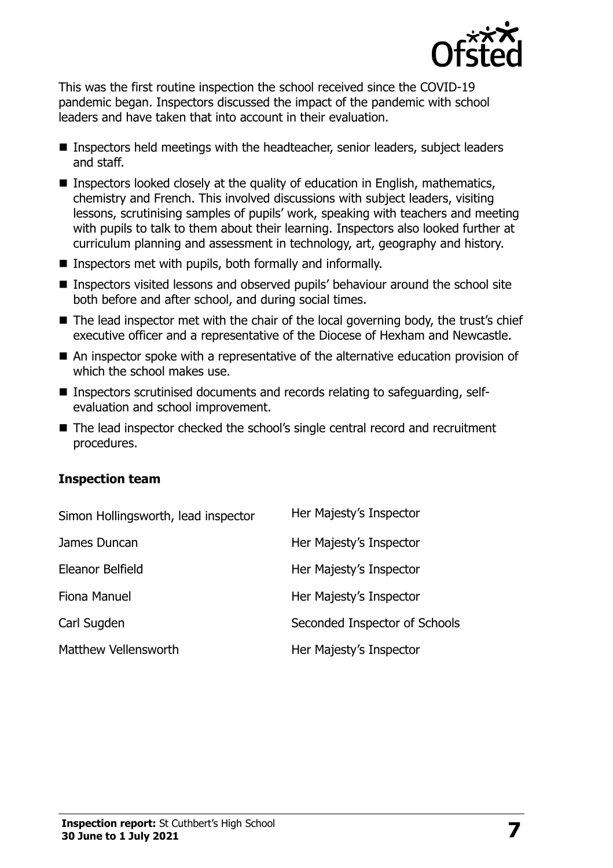

This was the first routine inspection the school received since the COVID-19 pandemic began. Inspectors discussed the impact of the pandemic with school leaders and have taken that into account in their evaluation.

- Inspectors held meetings with the headteacher, senior leaders, subject leaders and staff.
- **Inspectors looked closely at the quality of education in English, mathematics,** chemistry and French. This involved discussions with subject leaders, visiting lessons, scrutinising samples of pupils' work, speaking with teachers and meeting with pupils to talk to them about their learning. Inspectors also looked further at curriculum planning and assessment in technology, art, geography and history.
- Inspectors met with pupils, both formally and informally.
- Inspectors visited lessons and observed pupils' behaviour around the school site both before and after school, and during social times.
- The lead inspector met with the chair of the local governing body, the trust's chief executive officer and a representative of the Diocese of Hexham and Newcastle.
- An inspector spoke with a representative of the alternative education provision of which the school makes use.
- Inspectors scrutinised documents and records relating to safeguarding, selfevaluation and school improvement.
- The lead inspector checked the school's single central record and recruitment procedures.

#### **Inspection team**

| Simon Hollingsworth, lead inspector | Her Majesty's Inspector       |
|-------------------------------------|-------------------------------|
| James Duncan                        | Her Majesty's Inspector       |
| Eleanor Belfield                    | Her Majesty's Inspector       |
| Fiona Manuel                        | Her Majesty's Inspector       |
| Carl Sugden                         | Seconded Inspector of Schools |
| Matthew Vellensworth                | Her Majesty's Inspector       |